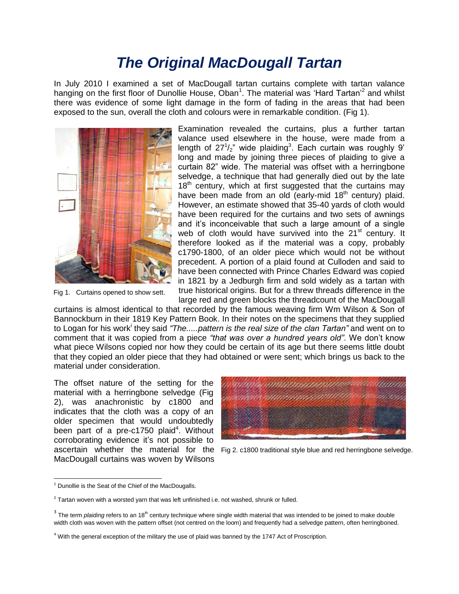## *The Original MacDougall Tartan*

In July 2010 I examined a set of MacDougall tartan curtains complete with tartan valance hanging on the first floor of Dunollie House, Oban<sup>1</sup>. The material was 'Hard Tartan'<sup>2</sup> and whilst there was evidence of some light damage in the form of fading in the areas that had been exposed to the sun, overall the cloth and colours were in remarkable condition. (Fig 1).



Fig 1. Curtains opened to show sett.

Examination revealed the curtains, plus a further tartan valance used elsewhere in the house, were made from a length of  $27^{1}/_{2}$ " wide plaiding<sup>3</sup>. Each curtain was roughly 9' long and made by joining three pieces of plaiding to give a curtain 82" wide. The material was offset with a herringbone selvedge, a technique that had generally died out by the late  $18<sup>th</sup>$  century, which at first suggested that the curtains may have been made from an old (early-mid  $18<sup>th</sup>$  century) plaid. However, an estimate showed that 35-40 yards of cloth would have been required for the curtains and two sets of awnings and it's inconceivable that such a large amount of a single web of cloth would have survived into the 21<sup>st</sup> century. It therefore looked as if the material was a copy, probably c1790-1800, of an older piece which would not be without precedent. A portion of a plaid found at Culloden and said to have been connected with Prince Charles Edward was copied in 1821 by a Jedburgh firm and sold widely as a tartan with true historical origins. But for a threw threads difference in the large red and green blocks the threadcount of the MacDougall

curtains is almost identical to that recorded by the famous weaving firm Wm Wilson & Son of Bannockburn in their 1819 Key Pattern Book. In their notes on the specimens that they supplied to Logan for his work<sup>i</sup> they said *"The.....pattern is the real size of the clan Tartan"* and went on to comment that it was copied from a piece *"that was over a hundred years old"*. We don't know what piece Wilsons copied nor how they could be certain of its age but there seems little doubt that they copied an older piece that they had obtained or were sent; which brings us back to the material under consideration.

The offset nature of the setting for the material with a herringbone selvedge (Fig 2), was anachronistic by c1800 and indicates that the cloth was a copy of an older specimen that would undoubtedly been part of a pre-c1750 plaid<sup>4</sup>. Without corroborating evidence it's not possible to MacDougall curtains was woven by Wilsons



ascertain whether the material for the Fig 2. c1800 traditional style blue and red herringbone selvedge.

 $\overline{a}$ 

 $1$  Dunollie is the Seat of the Chief of the MacDougalls.

 $2$  Tartan woven with a worsted yarn that was left unfinished i.e. not washed, shrunk or fulled.

<sup>&</sup>lt;sup>3</sup> The term *plaiding* refers to an 18<sup>th</sup> century technique where single width material that was intended to be joined to make double width cloth was woven with the pattern offset (not centred on the loom) and frequently had a selvedge pattern, often herringboned.

 $4$  With the general exception of the military the use of plaid was banned by the 1747 Act of Proscription.